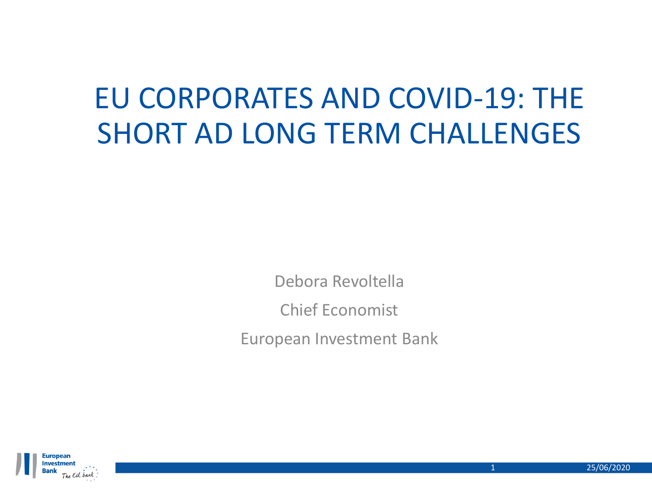# EU CORPORATES AND COVID-19: THE SHORT AD LONG TERM CHALLENGES

Debora Revoltella Chief Economist European Investment Bank

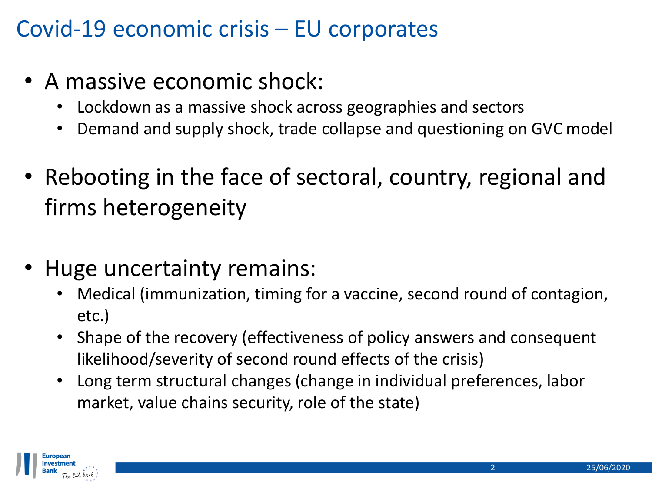### Covid-19 economic crisis – EU corporates

- A massive economic shock:
	- Lockdown as a massive shock across geographies and sectors
	- Demand and supply shock, trade collapse and questioning on GVC model
- Rebooting in the face of sectoral, country, regional and firms heterogeneity
- Huge uncertainty remains:
	- Medical (immunization, timing for a vaccine, second round of contagion, etc.)
	- Shape of the recovery (effectiveness of policy answers and consequent likelihood/severity of second round effects of the crisis)
	- Long term structural changes (change in individual preferences, labor market, value chains security, role of the state)

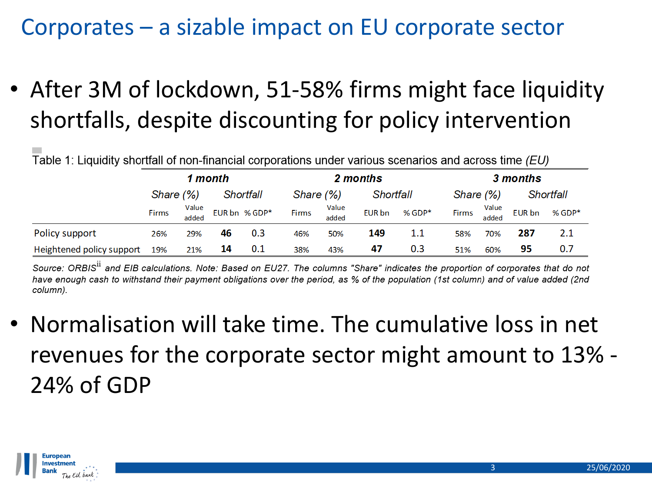### Corporates – a sizable impact on EU corporate sector

• After 3M of lockdown, 51-58% firms might face liquidity shortfalls, despite discounting for policy intervention

Table 1: Liquidity shortfall of non-financial corporations under various scenarios and across time (EU)

|                           | 1 month      |                |           | 2 months      |           |                |           | 3 months |              |                |           |          |
|---------------------------|--------------|----------------|-----------|---------------|-----------|----------------|-----------|----------|--------------|----------------|-----------|----------|
|                           | Share (%)    |                | Shortfall |               | Share (%) |                | Shortfall |          | Share (%)    |                | Shortfall |          |
|                           | <b>Firms</b> | Value<br>added |           | EUR bn % GDP* | Firms     | Value<br>added | EUR bn    | $%$ GDP* | <b>Firms</b> | Value<br>added | EUR bn    | $%$ GDP* |
| Policy support            | 26%          | 29%            | 46        | 0.3           | 46%       | 50%            | 149       | 1.1      | 58%          | 70%            | 287       | 2.1      |
| Heightened policy support | 19%          | 21%            | 14        | 0.1           | 38%       | 43%            | 47        | 0.3      | 51%          | 60%            | 95        | 0.7      |

Source: ORBIS<sup>ii</sup> and EIB calculations. Note: Based on EU27. The columns "Share" indicates the proportion of corporates that do not have enough cash to withstand their payment obligations over the period, as % of the population (1st column) and of value added (2nd column).

• Normalisation will take time. The cumulative loss in net revenues for the corporate sector might amount to 13% - 24% of GDP

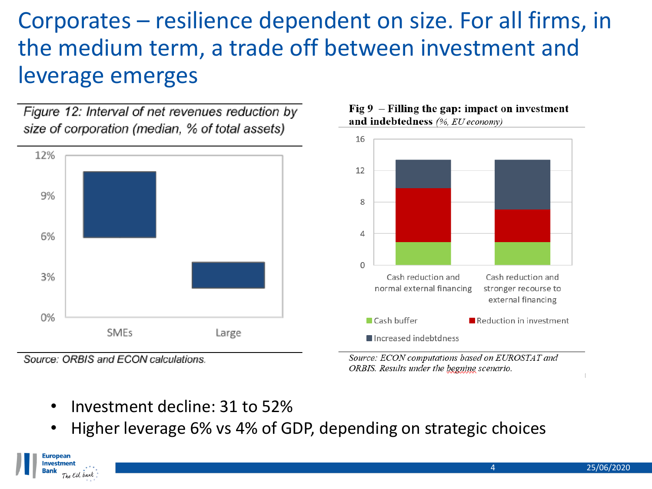### Corporates – resilience dependent on size. For all firms, in the medium term, a trade off between investment and leverage emerges

Figure 12: Interval of net revenues reduction by size of corporation (median, % of total assets)



Source: ORBIS and ECON calculations.

Europeai Investment

The EU bank

#### Fig  $9$  – Filling the gap: impact on investment and indebtedness (%, EU economy)



Source: ECON computations based on EUROSTAT and ORBIS. Results under the begnine scenario.

- Investment decline: 31 to 52%
- Higher leverage 6% vs 4% of GDP, depending on strategic choices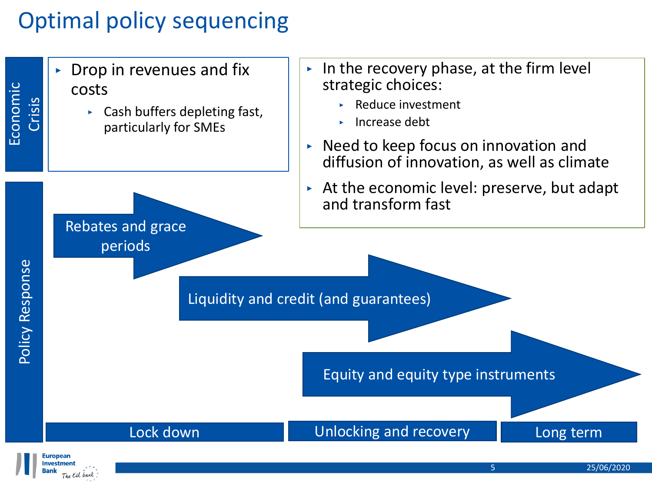## Optimal policy sequencing

 $\triangleright$  Drop in revenues and fix costs Crisis

- ‣ Cash buffers depleting fast, particularly for SMEs
- $\triangleright$  In the recovery phase, at the firm level strategic choices:
	- ‣ Reduce investment
	- ‣ Increase debt
- ‣ Need to keep focus on innovation and diffusion of innovation, as well as climate
- ‣ At the economic level: preserve, but adapt and transform fast

Rebates and grace periods

Liquidity and credit (and guarantees)

Equity and equity type instruments

Lock down **Lock down Lock down Long Long Long term** 



Economic

Policy Response

Policy Response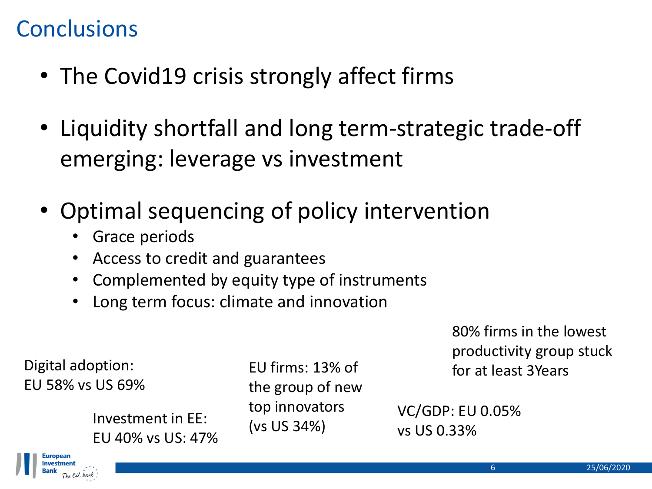### **Conclusions**

- The Covid19 crisis strongly affect firms
- Liquidity shortfall and long term-strategic trade-off emerging: leverage vs investment
- Optimal sequencing of policy intervention
	- Grace periods
	- Access to credit and guarantees
	- Complemented by equity type of instruments
	- Long term focus: climate and innovation

80% firms in the lowest productivity group stuck for at least 3Years

Digital adoption: EU 58% vs US 69%

> (vs US 34%) Investment in EE: EU 40% vs US: 47%

EU firms: 13% of the group of new top innovators

VC/GDP: EU 0.05% vs US 0.33%